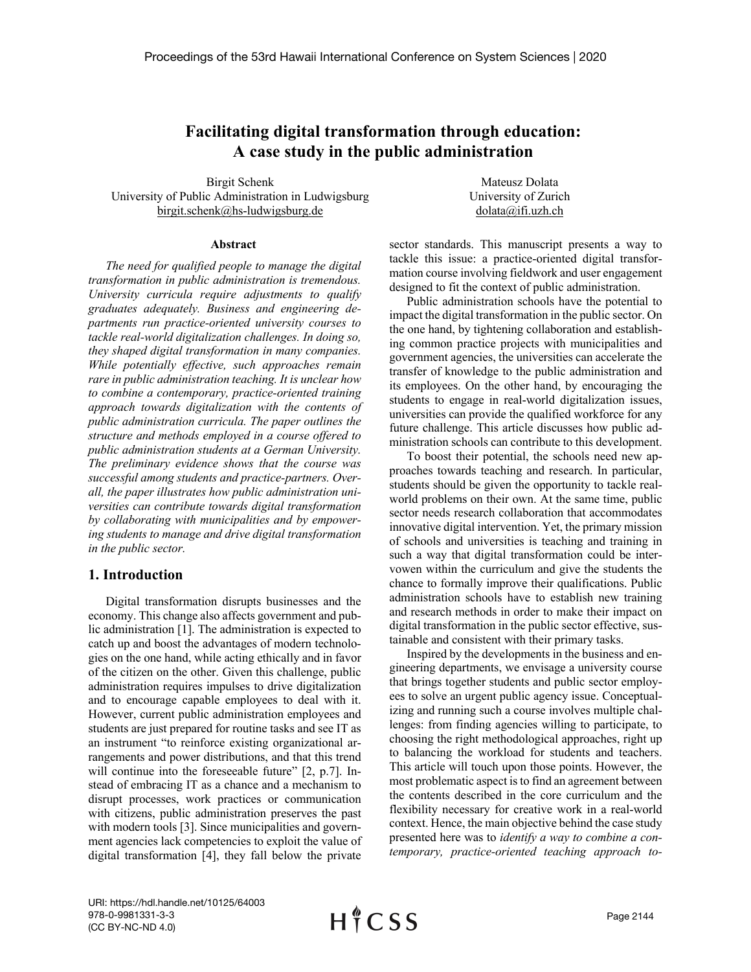# **Facilitating digital transformation through education: A case study in the public administration**

Birgit Schenk University of Public Administration in Ludwigsburg birgit.schenk@hs-ludwigsburg.de

Mateusz Dolata University of Zurich dolata@ifi.uzh.ch

#### **Abstract**

*The need for qualified people to manage the digital transformation in public administration is tremendous. University curricula require adjustments to qualify graduates adequately. Business and engineering departments run practice-oriented university courses to tackle real-world digitalization challenges. In doing so, they shaped digital transformation in many companies. While potentially effective, such approaches remain rare in public administration teaching. It is unclear how to combine a contemporary, practice-oriented training approach towards digitalization with the contents of public administration curricula. The paper outlines the structure and methods employed in a course offered to public administration students at a German University. The preliminary evidence shows that the course was successful among students and practice-partners. Overall, the paper illustrates how public administration universities can contribute towards digital transformation by collaborating with municipalities and by empowering students to manage and drive digital transformation in the public sector.* 

### **1. Introduction**

Digital transformation disrupts businesses and the economy. This change also affects government and public administration [1]. The administration is expected to catch up and boost the advantages of modern technologies on the one hand, while acting ethically and in favor of the citizen on the other. Given this challenge, public administration requires impulses to drive digitalization and to encourage capable employees to deal with it. However, current public administration employees and students are just prepared for routine tasks and see IT as an instrument "to reinforce existing organizational arrangements and power distributions, and that this trend will continue into the foreseeable future" [2, p.7]. Instead of embracing IT as a chance and a mechanism to disrupt processes, work practices or communication with citizens, public administration preserves the past with modern tools [3]. Since municipalities and government agencies lack competencies to exploit the value of digital transformation [4], they fall below the private sector standards. This manuscript presents a way to tackle this issue: a practice-oriented digital transformation course involving fieldwork and user engagement designed to fit the context of public administration.

Public administration schools have the potential to impact the digital transformation in the public sector. On the one hand, by tightening collaboration and establishing common practice projects with municipalities and government agencies, the universities can accelerate the transfer of knowledge to the public administration and its employees. On the other hand, by encouraging the students to engage in real-world digitalization issues, universities can provide the qualified workforce for any future challenge. This article discusses how public administration schools can contribute to this development.

To boost their potential, the schools need new approaches towards teaching and research. In particular, students should be given the opportunity to tackle realworld problems on their own. At the same time, public sector needs research collaboration that accommodates innovative digital intervention. Yet, the primary mission of schools and universities is teaching and training in such a way that digital transformation could be intervowen within the curriculum and give the students the chance to formally improve their qualifications. Public administration schools have to establish new training and research methods in order to make their impact on digital transformation in the public sector effective, sustainable and consistent with their primary tasks.

Inspired by the developments in the business and engineering departments, we envisage a university course that brings together students and public sector employees to solve an urgent public agency issue. Conceptualizing and running such a course involves multiple challenges: from finding agencies willing to participate, to choosing the right methodological approaches, right up to balancing the workload for students and teachers. This article will touch upon those points. However, the most problematic aspect is to find an agreement between the contents described in the core curriculum and the flexibility necessary for creative work in a real-world context. Hence, the main objective behind the case study presented here was to *identify a way to combine a contemporary, practice-oriented teaching approach to-*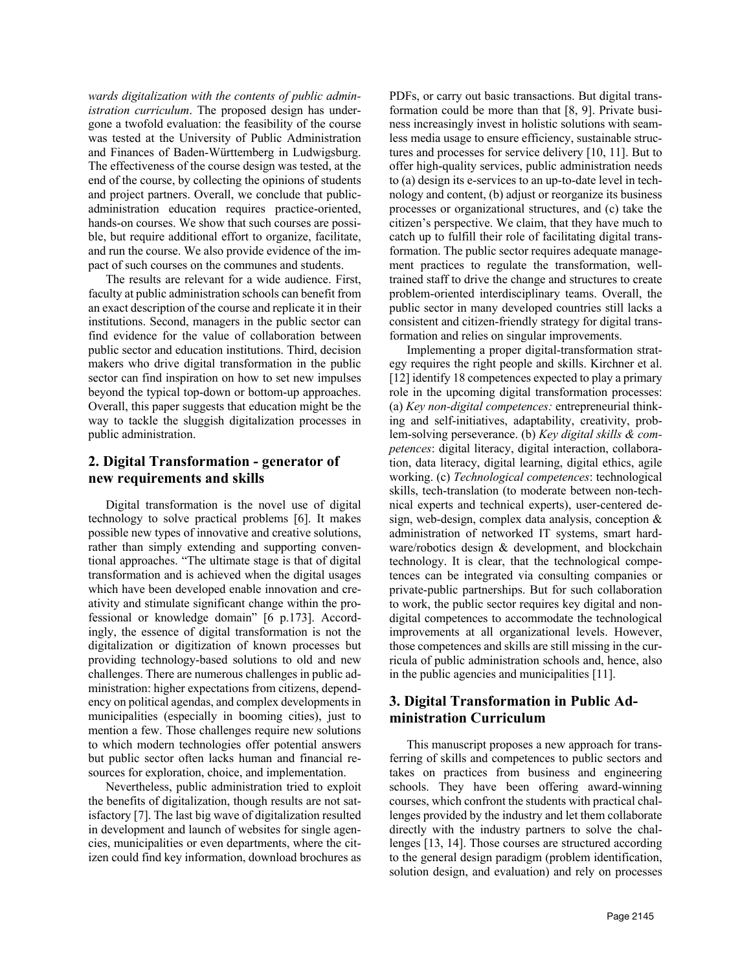*wards digitalization with the contents of public administration curriculum*. The proposed design has undergone a twofold evaluation: the feasibility of the course was tested at the University of Public Administration and Finances of Baden-Württemberg in Ludwigsburg. The effectiveness of the course design was tested, at the end of the course, by collecting the opinions of students and project partners. Overall, we conclude that publicadministration education requires practice-oriented, hands-on courses. We show that such courses are possible, but require additional effort to organize, facilitate, and run the course. We also provide evidence of the impact of such courses on the communes and students.

The results are relevant for a wide audience. First, faculty at public administration schools can benefit from an exact description of the course and replicate it in their institutions. Second, managers in the public sector can find evidence for the value of collaboration between public sector and education institutions. Third, decision makers who drive digital transformation in the public sector can find inspiration on how to set new impulses beyond the typical top-down or bottom-up approaches. Overall, this paper suggests that education might be the way to tackle the sluggish digitalization processes in public administration.

## **2. Digital Transformation - generator of new requirements and skills**

Digital transformation is the novel use of digital technology to solve practical problems [6]. It makes possible new types of innovative and creative solutions, rather than simply extending and supporting conventional approaches. "The ultimate stage is that of digital transformation and is achieved when the digital usages which have been developed enable innovation and creativity and stimulate significant change within the professional or knowledge domain" [6 p.173]. Accordingly, the essence of digital transformation is not the digitalization or digitization of known processes but providing technology-based solutions to old and new challenges. There are numerous challenges in public administration: higher expectations from citizens, dependency on political agendas, and complex developments in municipalities (especially in booming cities), just to mention a few. Those challenges require new solutions to which modern technologies offer potential answers but public sector often lacks human and financial resources for exploration, choice, and implementation.

Nevertheless, public administration tried to exploit the benefits of digitalization, though results are not satisfactory [7]. The last big wave of digitalization resulted in development and launch of websites for single agencies, municipalities or even departments, where the citizen could find key information, download brochures as PDFs, or carry out basic transactions. But digital transformation could be more than that [8, 9]. Private business increasingly invest in holistic solutions with seamless media usage to ensure efficiency, sustainable structures and processes for service delivery [10, 11]. But to offer high-quality services, public administration needs to (a) design its e-services to an up-to-date level in technology and content, (b) adjust or reorganize its business processes or organizational structures, and (c) take the citizen's perspective. We claim, that they have much to catch up to fulfill their role of facilitating digital transformation. The public sector requires adequate management practices to regulate the transformation, welltrained staff to drive the change and structures to create problem-oriented interdisciplinary teams. Overall, the public sector in many developed countries still lacks a consistent and citizen-friendly strategy for digital transformation and relies on singular improvements.

Implementing a proper digital-transformation strategy requires the right people and skills. Kirchner et al. [12] identify 18 competences expected to play a primary role in the upcoming digital transformation processes: (a) *Key non-digital competences:* entrepreneurial thinking and self-initiatives, adaptability, creativity, problem-solving perseverance. (b) *Key digital skills & competences*: digital literacy, digital interaction, collaboration, data literacy, digital learning, digital ethics, agile working. (c) *Technological competences*: technological skills, tech-translation (to moderate between non-technical experts and technical experts), user-centered design, web-design, complex data analysis, conception & administration of networked IT systems, smart hardware/robotics design & development, and blockchain technology. It is clear, that the technological competences can be integrated via consulting companies or private-public partnerships. But for such collaboration to work, the public sector requires key digital and nondigital competences to accommodate the technological improvements at all organizational levels. However, those competences and skills are still missing in the curricula of public administration schools and, hence, also in the public agencies and municipalities [11].

## **3. Digital Transformation in Public Administration Curriculum**

This manuscript proposes a new approach for transferring of skills and competences to public sectors and takes on practices from business and engineering schools. They have been offering award-winning courses, which confront the students with practical challenges provided by the industry and let them collaborate directly with the industry partners to solve the challenges [13, 14]. Those courses are structured according to the general design paradigm (problem identification, solution design, and evaluation) and rely on processes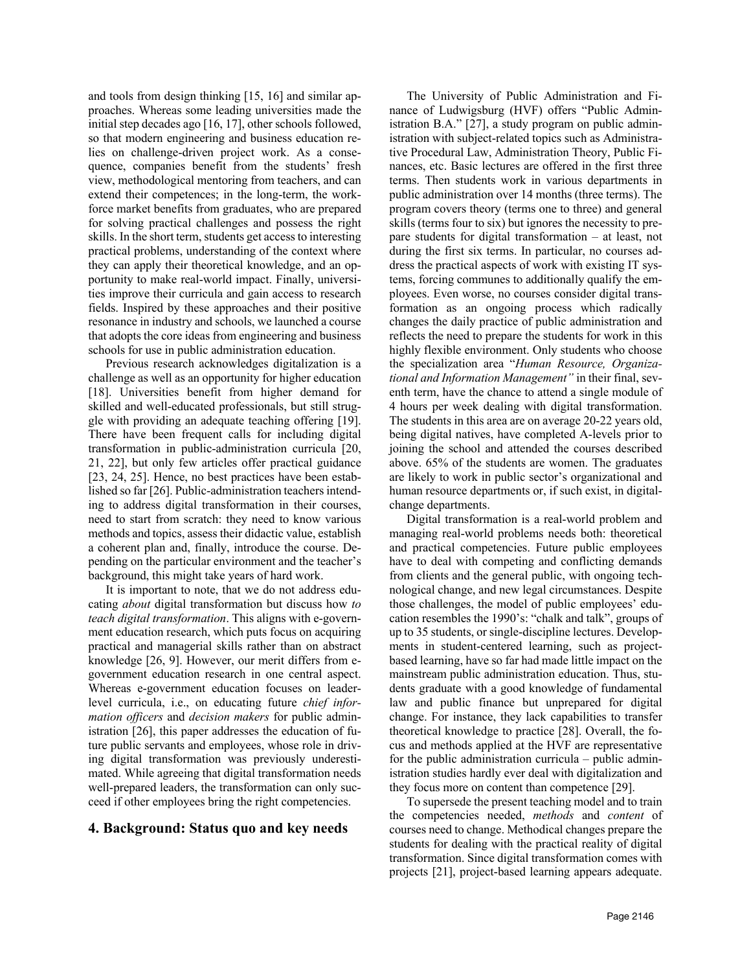and tools from design thinking [15, 16] and similar approaches. Whereas some leading universities made the initial step decades ago [16, 17], other schools followed, so that modern engineering and business education relies on challenge-driven project work. As a consequence, companies benefit from the students' fresh view, methodological mentoring from teachers, and can extend their competences; in the long-term, the workforce market benefits from graduates, who are prepared for solving practical challenges and possess the right skills. In the short term, students get access to interesting practical problems, understanding of the context where they can apply their theoretical knowledge, and an opportunity to make real-world impact. Finally, universities improve their curricula and gain access to research fields. Inspired by these approaches and their positive resonance in industry and schools, we launched a course that adopts the core ideas from engineering and business schools for use in public administration education.

Previous research acknowledges digitalization is a challenge as well as an opportunity for higher education [18]. Universities benefit from higher demand for skilled and well-educated professionals, but still struggle with providing an adequate teaching offering [19]. There have been frequent calls for including digital transformation in public-administration curricula [20, 21, 22], but only few articles offer practical guidance [23, 24, 25]. Hence, no best practices have been established so far [26]. Public-administration teachers intending to address digital transformation in their courses, need to start from scratch: they need to know various methods and topics, assess their didactic value, establish a coherent plan and, finally, introduce the course. Depending on the particular environment and the teacher's background, this might take years of hard work.

It is important to note, that we do not address educating *about* digital transformation but discuss how *to teach digital transformation*. This aligns with e-government education research, which puts focus on acquiring practical and managerial skills rather than on abstract knowledge [26, 9]. However, our merit differs from egovernment education research in one central aspect. Whereas e-government education focuses on leaderlevel curricula, i.e., on educating future *chief information officers* and *decision makers* for public administration [26], this paper addresses the education of future public servants and employees, whose role in driving digital transformation was previously underestimated. While agreeing that digital transformation needs well-prepared leaders, the transformation can only succeed if other employees bring the right competencies.

## **4. Background: Status quo and key needs**

The University of Public Administration and Finance of Ludwigsburg (HVF) offers "Public Administration B.A." [27], a study program on public administration with subject-related topics such as Administrative Procedural Law, Administration Theory, Public Finances, etc. Basic lectures are offered in the first three terms. Then students work in various departments in public administration over 14 months (three terms). The program covers theory (terms one to three) and general skills (terms four to six) but ignores the necessity to prepare students for digital transformation – at least, not during the first six terms. In particular, no courses address the practical aspects of work with existing IT systems, forcing communes to additionally qualify the employees. Even worse, no courses consider digital transformation as an ongoing process which radically changes the daily practice of public administration and reflects the need to prepare the students for work in this highly flexible environment. Only students who choose the specialization area "*Human Resource, Organizational and Information Management"* in their final, seventh term, have the chance to attend a single module of 4 hours per week dealing with digital transformation. The students in this area are on average 20-22 years old, being digital natives, have completed A-levels prior to joining the school and attended the courses described above. 65% of the students are women. The graduates are likely to work in public sector's organizational and human resource departments or, if such exist, in digitalchange departments.

Digital transformation is a real-world problem and managing real-world problems needs both: theoretical and practical competencies. Future public employees have to deal with competing and conflicting demands from clients and the general public, with ongoing technological change, and new legal circumstances. Despite those challenges, the model of public employees' education resembles the 1990's: "chalk and talk", groups of up to 35 students, or single-discipline lectures. Developments in student-centered learning, such as projectbased learning, have so far had made little impact on the mainstream public administration education. Thus, students graduate with a good knowledge of fundamental law and public finance but unprepared for digital change. For instance, they lack capabilities to transfer theoretical knowledge to practice [28]. Overall, the focus and methods applied at the HVF are representative for the public administration curricula – public administration studies hardly ever deal with digitalization and they focus more on content than competence [29].

To supersede the present teaching model and to train the competencies needed, *methods* and *content* of courses need to change. Methodical changes prepare the students for dealing with the practical reality of digital transformation. Since digital transformation comes with projects [21], project-based learning appears adequate.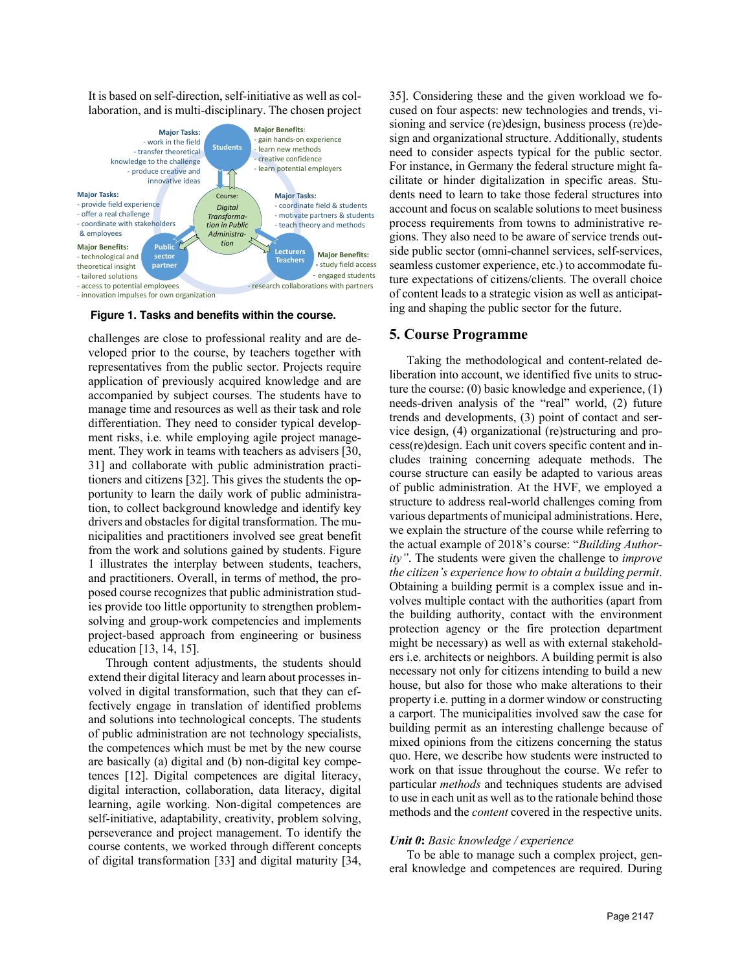It is based on self-direction, self-initiative as well as collaboration, and is multi-disciplinary. The chosen project



- innovation impulses for own organization

**Figure 1. Tasks and benefits within the course.**

challenges are close to professional reality and are developed prior to the course, by teachers together with representatives from the public sector. Projects require application of previously acquired knowledge and are accompanied by subject courses. The students have to manage time and resources as well as their task and role differentiation. They need to consider typical development risks, i.e. while employing agile project management. They work in teams with teachers as advisers [30, 31] and collaborate with public administration practitioners and citizens [32]. This gives the students the opportunity to learn the daily work of public administration, to collect background knowledge and identify key drivers and obstacles for digital transformation. The municipalities and practitioners involved see great benefit from the work and solutions gained by students. Figure 1 illustrates the interplay between students, teachers, and practitioners. Overall, in terms of method, the proposed course recognizes that public administration studies provide too little opportunity to strengthen problemsolving and group-work competencies and implements project-based approach from engineering or business education [13, 14, 15].

Through content adjustments, the students should extend their digital literacy and learn about processes involved in digital transformation, such that they can effectively engage in translation of identified problems and solutions into technological concepts. The students of public administration are not technology specialists, the competences which must be met by the new course are basically (a) digital and (b) non-digital key competences [12]. Digital competences are digital literacy, digital interaction, collaboration, data literacy, digital learning, agile working. Non-digital competences are self-initiative, adaptability, creativity, problem solving, perseverance and project management. To identify the course contents, we worked through different concepts of digital transformation [33] and digital maturity [34,

35]. Considering these and the given workload we focused on four aspects: new technologies and trends, visioning and service (re)design, business process (re)design and organizational structure. Additionally, students need to consider aspects typical for the public sector. For instance, in Germany the federal structure might facilitate or hinder digitalization in specific areas. Students need to learn to take those federal structures into account and focus on scalable solutions to meet business process requirements from towns to administrative regions. They also need to be aware of service trends outside public sector (omni-channel services, self-services, seamless customer experience, etc.) to accommodate future expectations of citizens/clients. The overall choice of content leads to a strategic vision as well as anticipating and shaping the public sector for the future.

## **5. Course Programme**

Taking the methodological and content-related deliberation into account, we identified five units to structure the course: (0) basic knowledge and experience, (1) needs-driven analysis of the "real" world, (2) future trends and developments, (3) point of contact and service design, (4) organizational (re)structuring and process(re)design. Each unit covers specific content and includes training concerning adequate methods. The course structure can easily be adapted to various areas of public administration. At the HVF, we employed a structure to address real-world challenges coming from various departments of municipal administrations. Here, we explain the structure of the course while referring to the actual example of 2018's course: "*Building Authority"*. The students were given the challenge to *improve the citizen's experience how to obtain a building permit*. Obtaining a building permit is a complex issue and involves multiple contact with the authorities (apart from the building authority, contact with the environment protection agency or the fire protection department might be necessary) as well as with external stakeholders i.e. architects or neighbors. A building permit is also necessary not only for citizens intending to build a new house, but also for those who make alterations to their property i.e. putting in a dormer window or constructing a carport. The municipalities involved saw the case for building permit as an interesting challenge because of mixed opinions from the citizens concerning the status quo. Here, we describe how students were instructed to work on that issue throughout the course. We refer to particular *methods* and techniques students are advised to use in each unit as well as to the rationale behind those methods and the *content* covered in the respective units.

#### *Unit 0***:** *Basic knowledge / experience*

To be able to manage such a complex project, general knowledge and competences are required. During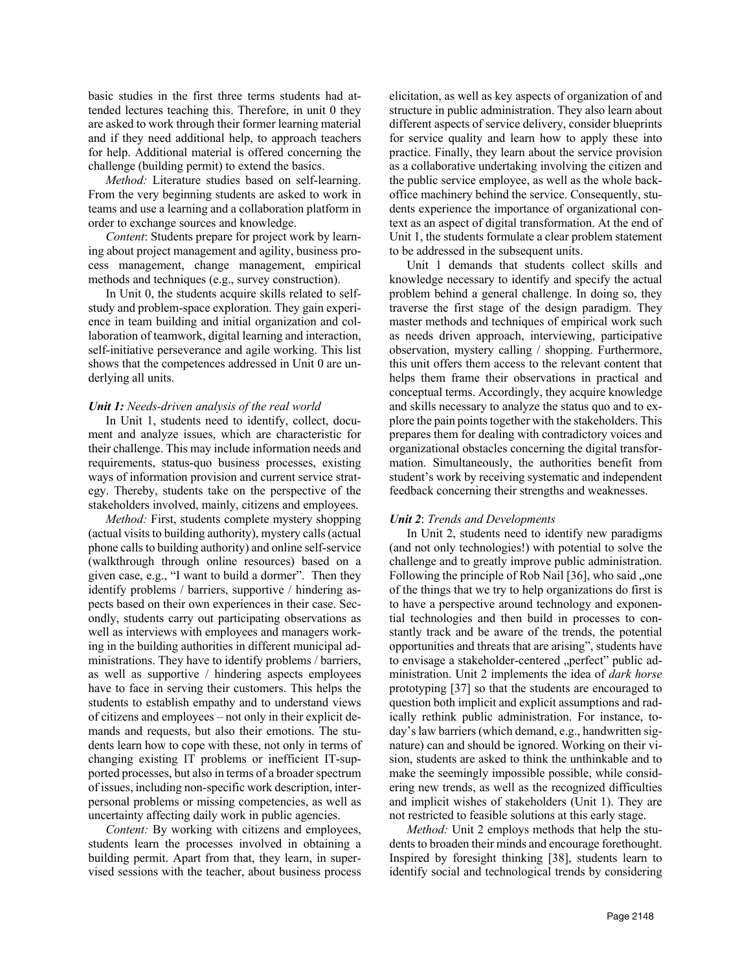basic studies in the first three terms students had attended lectures teaching this. Therefore, in unit 0 they are asked to work through their former learning material and if they need additional help, to approach teachers for help. Additional material is offered concerning the challenge (building permit) to extend the basics.

*Method:* Literature studies based on self-learning. From the very beginning students are asked to work in teams and use a learning and a collaboration platform in order to exchange sources and knowledge.

*Content*: Students prepare for project work by learning about project management and agility, business process management, change management, empirical methods and techniques (e.g., survey construction).

In Unit 0, the students acquire skills related to selfstudy and problem-space exploration. They gain experience in team building and initial organization and collaboration of teamwork, digital learning and interaction, self-initiative perseverance and agile working. This list shows that the competences addressed in Unit 0 are underlying all units.

#### *Unit 1: Needs-driven analysis of the real world*

In Unit 1, students need to identify, collect, document and analyze issues, which are characteristic for their challenge. This may include information needs and requirements, status-quo business processes, existing ways of information provision and current service strategy. Thereby, students take on the perspective of the stakeholders involved, mainly, citizens and employees.

*Method:* First, students complete mystery shopping (actual visits to building authority), mystery calls(actual phone calls to building authority) and online self-service (walkthrough through online resources) based on a given case, e.g., "I want to build a dormer". Then they identify problems / barriers, supportive / hindering aspects based on their own experiences in their case. Secondly, students carry out participating observations as well as interviews with employees and managers working in the building authorities in different municipal administrations. They have to identify problems / barriers, as well as supportive / hindering aspects employees have to face in serving their customers. This helps the students to establish empathy and to understand views of citizens and employees – not only in their explicit demands and requests, but also their emotions. The students learn how to cope with these, not only in terms of changing existing IT problems or inefficient IT-supported processes, but also in terms of a broader spectrum of issues, including non-specific work description, interpersonal problems or missing competencies, as well as uncertainty affecting daily work in public agencies.

*Content:* By working with citizens and employees, students learn the processes involved in obtaining a building permit. Apart from that, they learn, in supervised sessions with the teacher, about business process elicitation, as well as key aspects of organization of and structure in public administration. They also learn about different aspects of service delivery, consider blueprints for service quality and learn how to apply these into practice. Finally, they learn about the service provision as a collaborative undertaking involving the citizen and the public service employee, as well as the whole backoffice machinery behind the service. Consequently, students experience the importance of organizational context as an aspect of digital transformation. At the end of Unit 1, the students formulate a clear problem statement to be addressed in the subsequent units.

Unit 1 demands that students collect skills and knowledge necessary to identify and specify the actual problem behind a general challenge. In doing so, they traverse the first stage of the design paradigm. They master methods and techniques of empirical work such as needs driven approach, interviewing, participative observation, mystery calling / shopping. Furthermore, this unit offers them access to the relevant content that helps them frame their observations in practical and conceptual terms. Accordingly, they acquire knowledge and skills necessary to analyze the status quo and to explore the pain points together with the stakeholders. This prepares them for dealing with contradictory voices and organizational obstacles concerning the digital transformation. Simultaneously, the authorities benefit from student's work by receiving systematic and independent feedback concerning their strengths and weaknesses.

#### *Unit 2*: *Trends and Developments*

In Unit 2, students need to identify new paradigms (and not only technologies!) with potential to solve the challenge and to greatly improve public administration. Following the principle of Rob Nail  $[36]$ , who said "one of the things that we try to help organizations do first is to have a perspective around technology and exponential technologies and then build in processes to constantly track and be aware of the trends, the potential opportunities and threats that are arising", students have to envisage a stakeholder-centered "perfect" public administration. Unit 2 implements the idea of *dark horse* prototyping [37] so that the students are encouraged to question both implicit and explicit assumptions and radically rethink public administration. For instance, today's law barriers (which demand, e.g., handwritten signature) can and should be ignored. Working on their vision, students are asked to think the unthinkable and to make the seemingly impossible possible, while considering new trends, as well as the recognized difficulties and implicit wishes of stakeholders (Unit 1). They are not restricted to feasible solutions at this early stage.

*Method:* Unit 2 employs methods that help the students to broaden their minds and encourage forethought. Inspired by foresight thinking [38], students learn to identify social and technological trends by considering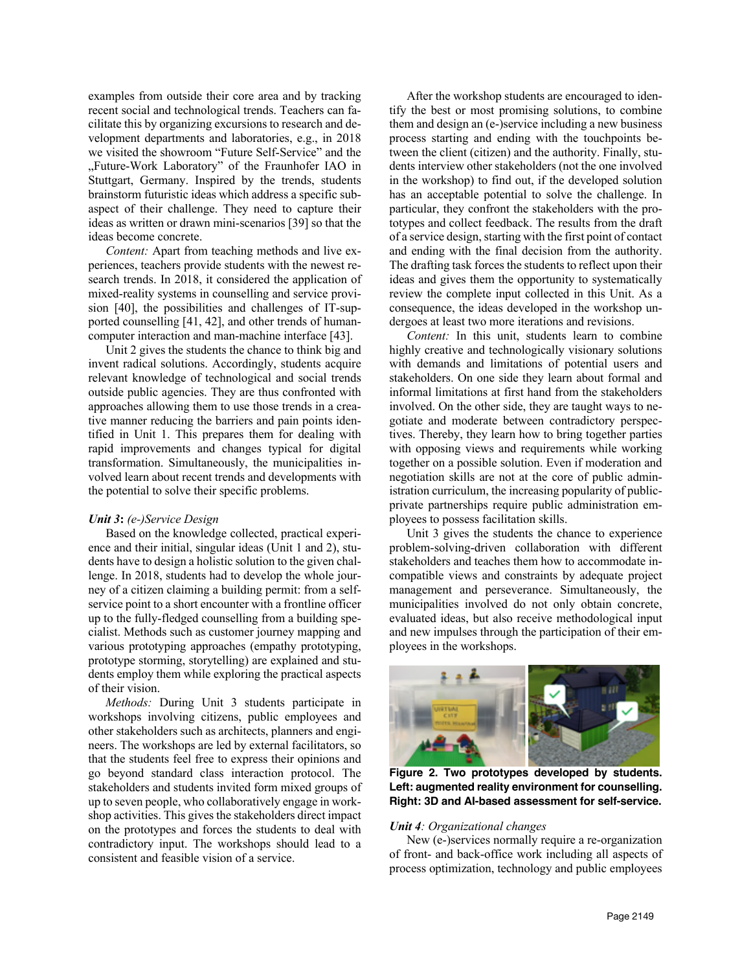examples from outside their core area and by tracking recent social and technological trends. Teachers can facilitate this by organizing excursions to research and development departments and laboratories, e.g., in 2018 we visited the showroom "Future Self-Service" and the "Future-Work Laboratory" of the Fraunhofer IAO in Stuttgart, Germany. Inspired by the trends, students brainstorm futuristic ideas which address a specific subaspect of their challenge. They need to capture their ideas as written or drawn mini-scenarios [39] so that the ideas become concrete.

*Content:* Apart from teaching methods and live experiences, teachers provide students with the newest research trends. In 2018, it considered the application of mixed-reality systems in counselling and service provision [40], the possibilities and challenges of IT-supported counselling [41, 42], and other trends of humancomputer interaction and man-machine interface [43].

Unit 2 gives the students the chance to think big and invent radical solutions. Accordingly, students acquire relevant knowledge of technological and social trends outside public agencies. They are thus confronted with approaches allowing them to use those trends in a creative manner reducing the barriers and pain points identified in Unit 1. This prepares them for dealing with rapid improvements and changes typical for digital transformation. Simultaneously, the municipalities involved learn about recent trends and developments with the potential to solve their specific problems.

#### *Unit 3***:** *(e-)Service Design*

Based on the knowledge collected, practical experience and their initial, singular ideas (Unit 1 and 2), students have to design a holistic solution to the given challenge. In 2018, students had to develop the whole journey of a citizen claiming a building permit: from a selfservice point to a short encounter with a frontline officer up to the fully-fledged counselling from a building specialist. Methods such as customer journey mapping and various prototyping approaches (empathy prototyping, prototype storming, storytelling) are explained and students employ them while exploring the practical aspects of their vision.

*Methods:* During Unit 3 students participate in workshops involving citizens, public employees and other stakeholders such as architects, planners and engineers. The workshops are led by external facilitators, so that the students feel free to express their opinions and go beyond standard class interaction protocol. The stakeholders and students invited form mixed groups of up to seven people, who collaboratively engage in workshop activities. This gives the stakeholders direct impact on the prototypes and forces the students to deal with contradictory input. The workshops should lead to a consistent and feasible vision of a service.

After the workshop students are encouraged to identify the best or most promising solutions, to combine them and design an (e-)service including a new business process starting and ending with the touchpoints between the client (citizen) and the authority. Finally, students interview other stakeholders (not the one involved in the workshop) to find out, if the developed solution has an acceptable potential to solve the challenge. In particular, they confront the stakeholders with the prototypes and collect feedback. The results from the draft of a service design, starting with the first point of contact and ending with the final decision from the authority. The drafting task forces the students to reflect upon their ideas and gives them the opportunity to systematically review the complete input collected in this Unit. As a consequence, the ideas developed in the workshop undergoes at least two more iterations and revisions.

*Content:* In this unit, students learn to combine highly creative and technologically visionary solutions with demands and limitations of potential users and stakeholders. On one side they learn about formal and informal limitations at first hand from the stakeholders involved. On the other side, they are taught ways to negotiate and moderate between contradictory perspectives. Thereby, they learn how to bring together parties with opposing views and requirements while working together on a possible solution. Even if moderation and negotiation skills are not at the core of public administration curriculum, the increasing popularity of publicprivate partnerships require public administration employees to possess facilitation skills.

Unit 3 gives the students the chance to experience problem-solving-driven collaboration with different stakeholders and teaches them how to accommodate incompatible views and constraints by adequate project management and perseverance. Simultaneously, the municipalities involved do not only obtain concrete, evaluated ideas, but also receive methodological input and new impulses through the participation of their employees in the workshops.



**Figure 2. Two prototypes developed by students. Left: augmented reality environment for counselling. Right: 3D and AI-based assessment for self-service.**

### *Unit 4: Organizational changes*

New (e-)services normally require a re-organization of front- and back-office work including all aspects of process optimization, technology and public employees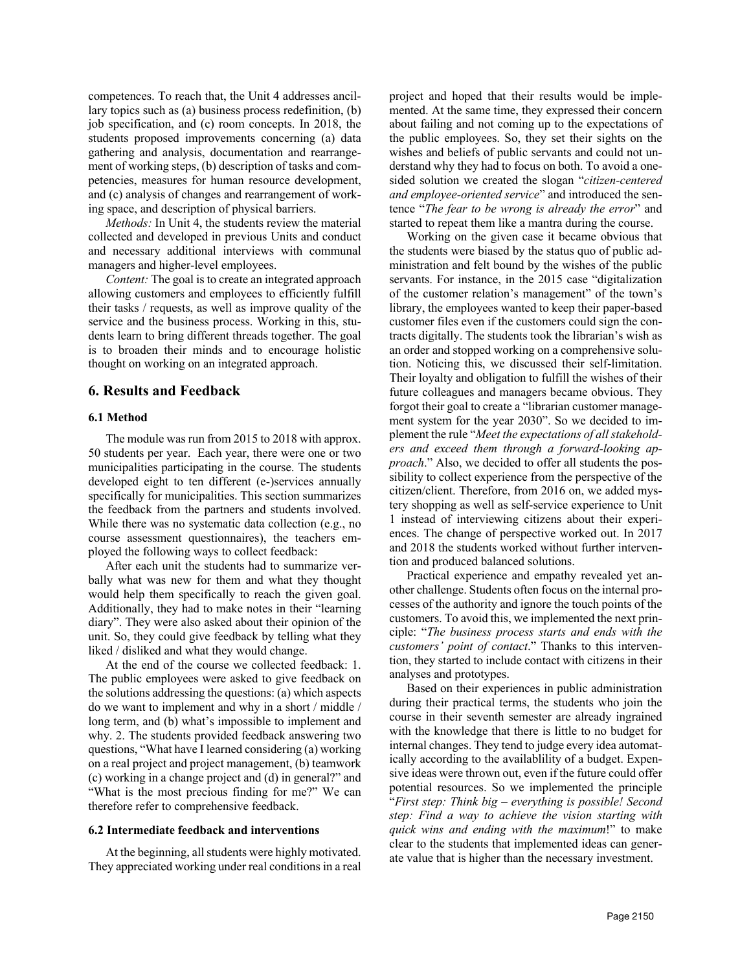competences. To reach that, the Unit 4 addresses ancillary topics such as (a) business process redefinition, (b) job specification, and (c) room concepts. In 2018, the students proposed improvements concerning (a) data gathering and analysis, documentation and rearrangement of working steps, (b) description of tasks and competencies, measures for human resource development, and (c) analysis of changes and rearrangement of working space, and description of physical barriers.

*Methods:* In Unit 4, the students review the material collected and developed in previous Units and conduct and necessary additional interviews with communal managers and higher-level employees.

*Content:* The goal is to create an integrated approach allowing customers and employees to efficiently fulfill their tasks / requests, as well as improve quality of the service and the business process. Working in this, students learn to bring different threads together. The goal is to broaden their minds and to encourage holistic thought on working on an integrated approach.

## **6. Results and Feedback**

#### **6.1 Method**

The module was run from 2015 to 2018 with approx. 50 students per year. Each year, there were one or two municipalities participating in the course. The students developed eight to ten different (e-)services annually specifically for municipalities. This section summarizes the feedback from the partners and students involved. While there was no systematic data collection (e.g., no course assessment questionnaires), the teachers employed the following ways to collect feedback:

After each unit the students had to summarize verbally what was new for them and what they thought would help them specifically to reach the given goal. Additionally, they had to make notes in their "learning diary". They were also asked about their opinion of the unit. So, they could give feedback by telling what they liked / disliked and what they would change.

At the end of the course we collected feedback: 1. The public employees were asked to give feedback on the solutions addressing the questions: (a) which aspects do we want to implement and why in a short / middle / long term, and (b) what's impossible to implement and why. 2. The students provided feedback answering two questions, "What have I learned considering (a) working on a real project and project management, (b) teamwork (c) working in a change project and (d) in general?" and "What is the most precious finding for me?" We can therefore refer to comprehensive feedback.

#### **6.2 Intermediate feedback and interventions**

At the beginning, all students were highly motivated. They appreciated working under real conditions in a real project and hoped that their results would be implemented. At the same time, they expressed their concern about failing and not coming up to the expectations of the public employees. So, they set their sights on the wishes and beliefs of public servants and could not understand why they had to focus on both. To avoid a onesided solution we created the slogan "*citizen-centered and employee-oriented service*" and introduced the sentence "*The fear to be wrong is already the error*" and started to repeat them like a mantra during the course.

Working on the given case it became obvious that the students were biased by the status quo of public administration and felt bound by the wishes of the public servants. For instance, in the 2015 case "digitalization of the customer relation's management" of the town's library, the employees wanted to keep their paper-based customer files even if the customers could sign the contracts digitally. The students took the librarian's wish as an order and stopped working on a comprehensive solution. Noticing this, we discussed their self-limitation. Their loyalty and obligation to fulfill the wishes of their future colleagues and managers became obvious. They forgot their goal to create a "librarian customer management system for the year 2030". So we decided to implement the rule "*Meet the expectations of all stakeholders and exceed them through a forward-looking approach*." Also, we decided to offer all students the possibility to collect experience from the perspective of the citizen/client. Therefore, from 2016 on, we added mystery shopping as well as self-service experience to Unit 1 instead of interviewing citizens about their experiences. The change of perspective worked out. In 2017 and 2018 the students worked without further intervention and produced balanced solutions.

Practical experience and empathy revealed yet another challenge. Students often focus on the internal processes of the authority and ignore the touch points of the customers. To avoid this, we implemented the next principle: "*The business process starts and ends with the customers' point of contact*." Thanks to this intervention, they started to include contact with citizens in their analyses and prototypes.

Based on their experiences in public administration during their practical terms, the students who join the course in their seventh semester are already ingrained with the knowledge that there is little to no budget for internal changes. They tend to judge every idea automatically according to the availablility of a budget. Expensive ideas were thrown out, even if the future could offer potential resources. So we implemented the principle "*First step: Think big – everything is possible! Second step: Find a way to achieve the vision starting with quick wins and ending with the maximum*!" to make clear to the students that implemented ideas can generate value that is higher than the necessary investment.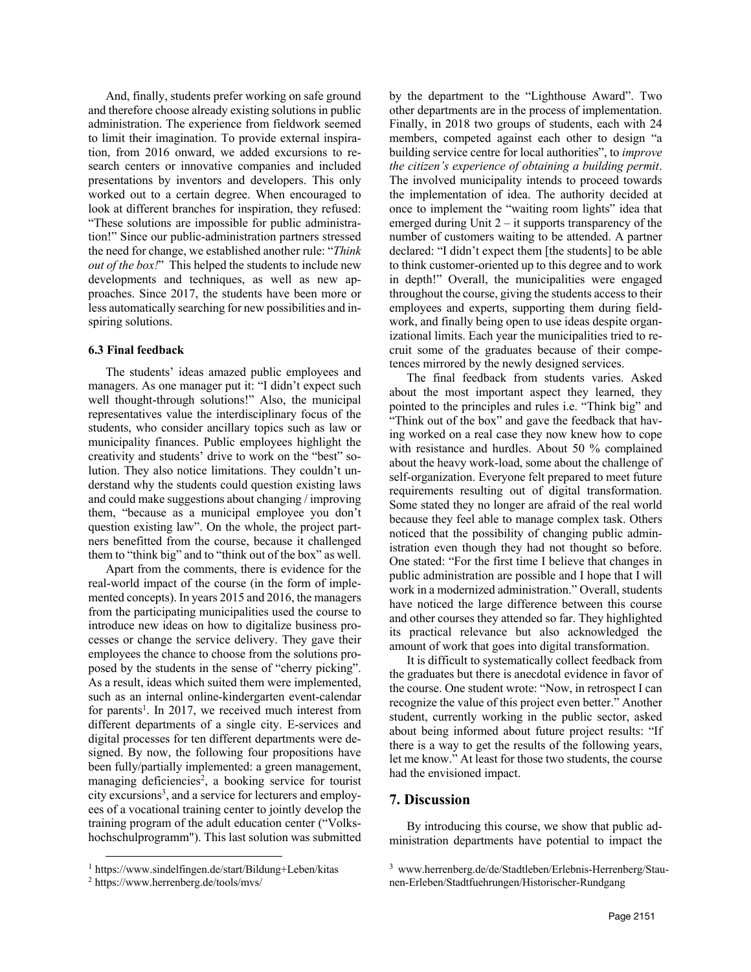And, finally, students prefer working on safe ground and therefore choose already existing solutions in public administration. The experience from fieldwork seemed to limit their imagination. To provide external inspiration, from 2016 onward, we added excursions to research centers or innovative companies and included presentations by inventors and developers. This only worked out to a certain degree. When encouraged to look at different branches for inspiration, they refused: "These solutions are impossible for public administration!" Since our public-administration partners stressed the need for change, we established another rule: "*Think out of the box!*" This helped the students to include new developments and techniques, as well as new approaches. Since 2017, the students have been more or less automatically searching for new possibilities and inspiring solutions.

#### **6.3 Final feedback**

The students' ideas amazed public employees and managers. As one manager put it: "I didn't expect such well thought-through solutions!" Also, the municipal representatives value the interdisciplinary focus of the students, who consider ancillary topics such as law or municipality finances. Public employees highlight the creativity and students' drive to work on the "best" solution. They also notice limitations. They couldn't understand why the students could question existing laws and could make suggestions about changing / improving them, "because as a municipal employee you don't question existing law". On the whole, the project partners benefitted from the course, because it challenged them to "think big" and to "think out of the box" as well.

Apart from the comments, there is evidence for the real-world impact of the course (in the form of implemented concepts). In years 2015 and 2016, the managers from the participating municipalities used the course to introduce new ideas on how to digitalize business processes or change the service delivery. They gave their employees the chance to choose from the solutions proposed by the students in the sense of "cherry picking". As a result, ideas which suited them were implemented, such as an internal online-kindergarten event-calendar for parents<sup>1</sup>. In 2017, we received much interest from different departments of a single city. E-services and digital processes for ten different departments were designed. By now, the following four propositions have been fully/partially implemented: a green management, managing deficiencies<sup>2</sup>, a booking service for tourist city excursions<sup>3</sup>, and a service for lecturers and employees of a vocational training center to jointly develop the training program of the adult education center ("Volkshochschulprogramm"). This last solution was submitted

by the department to the "Lighthouse Award". Two other departments are in the process of implementation. Finally, in 2018 two groups of students, each with 24 members, competed against each other to design "a building service centre for local authorities", to *improve the citizen's experience of obtaining a building permit*. The involved municipality intends to proceed towards the implementation of idea. The authority decided at once to implement the "waiting room lights" idea that emerged during Unit  $2 - it$  supports transparency of the number of customers waiting to be attended. A partner declared: "I didn't expect them [the students] to be able to think customer-oriented up to this degree and to work in depth!" Overall, the municipalities were engaged throughout the course, giving the students access to their employees and experts, supporting them during fieldwork, and finally being open to use ideas despite organizational limits. Each year the municipalities tried to recruit some of the graduates because of their competences mirrored by the newly designed services.

The final feedback from students varies. Asked about the most important aspect they learned, they pointed to the principles and rules i.e. "Think big" and "Think out of the box" and gave the feedback that having worked on a real case they now knew how to cope with resistance and hurdles. About 50 % complained about the heavy work-load, some about the challenge of self-organization. Everyone felt prepared to meet future requirements resulting out of digital transformation. Some stated they no longer are afraid of the real world because they feel able to manage complex task. Others noticed that the possibility of changing public administration even though they had not thought so before. One stated: "For the first time I believe that changes in public administration are possible and I hope that I will work in a modernized administration." Overall, students have noticed the large difference between this course and other courses they attended so far. They highlighted its practical relevance but also acknowledged the amount of work that goes into digital transformation.

It is difficult to systematically collect feedback from the graduates but there is anecdotal evidence in favor of the course. One student wrote: "Now, in retrospect I can recognize the value of this project even better." Another student, currently working in the public sector, asked about being informed about future project results: "If there is a way to get the results of the following years, let me know." At least for those two students, the course had the envisioned impact.

## **7. Discussion**

By introducing this course, we show that public administration departments have potential to impact the

<sup>1</sup> https://www.sindelfingen.de/start/Bildung+Leben/kitas

<sup>2</sup> https://www.herrenberg.de/tools/mvs/

<sup>3</sup> www.herrenberg.de/de/Stadtleben/Erlebnis-Herrenberg/Staunen-Erleben/Stadtfuehrungen/Historischer-Rundgang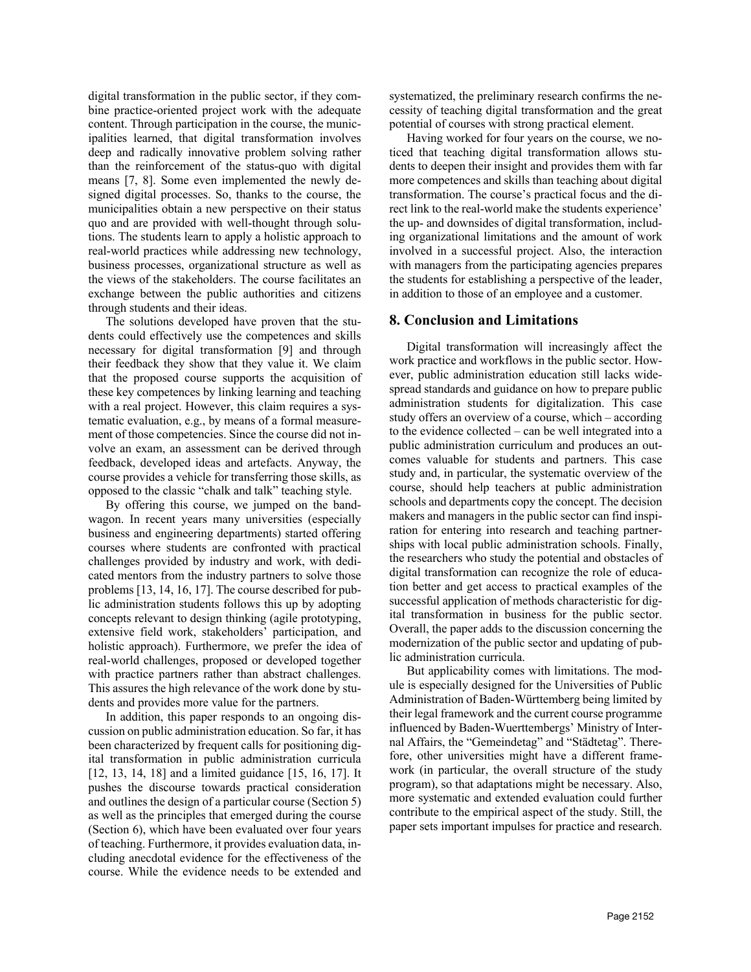digital transformation in the public sector, if they combine practice-oriented project work with the adequate content. Through participation in the course, the municipalities learned, that digital transformation involves deep and radically innovative problem solving rather than the reinforcement of the status-quo with digital means [7, 8]. Some even implemented the newly designed digital processes. So, thanks to the course, the municipalities obtain a new perspective on their status quo and are provided with well-thought through solutions. The students learn to apply a holistic approach to real-world practices while addressing new technology, business processes, organizational structure as well as the views of the stakeholders. The course facilitates an exchange between the public authorities and citizens through students and their ideas.

The solutions developed have proven that the students could effectively use the competences and skills necessary for digital transformation [9] and through their feedback they show that they value it. We claim that the proposed course supports the acquisition of these key competences by linking learning and teaching with a real project. However, this claim requires a systematic evaluation, e.g., by means of a formal measurement of those competencies. Since the course did not involve an exam, an assessment can be derived through feedback, developed ideas and artefacts. Anyway, the course provides a vehicle for transferring those skills, as opposed to the classic "chalk and talk" teaching style.

By offering this course, we jumped on the bandwagon. In recent years many universities (especially business and engineering departments) started offering courses where students are confronted with practical challenges provided by industry and work, with dedicated mentors from the industry partners to solve those problems [13, 14, 16, 17]. The course described for public administration students follows this up by adopting concepts relevant to design thinking (agile prototyping, extensive field work, stakeholders' participation, and holistic approach). Furthermore, we prefer the idea of real-world challenges, proposed or developed together with practice partners rather than abstract challenges. This assures the high relevance of the work done by students and provides more value for the partners.

In addition, this paper responds to an ongoing discussion on public administration education. So far, it has been characterized by frequent calls for positioning digital transformation in public administration curricula [12, 13, 14, 18] and a limited guidance [15, 16, 17]. It pushes the discourse towards practical consideration and outlines the design of a particular course (Section 5) as well as the principles that emerged during the course (Section 6), which have been evaluated over four years of teaching. Furthermore, it provides evaluation data, including anecdotal evidence for the effectiveness of the course. While the evidence needs to be extended and

systematized, the preliminary research confirms the necessity of teaching digital transformation and the great potential of courses with strong practical element.

Having worked for four years on the course, we noticed that teaching digital transformation allows students to deepen their insight and provides them with far more competences and skills than teaching about digital transformation. The course's practical focus and the direct link to the real-world make the students experience' the up- and downsides of digital transformation, including organizational limitations and the amount of work involved in a successful project. Also, the interaction with managers from the participating agencies prepares the students for establishing a perspective of the leader, in addition to those of an employee and a customer.

### **8. Conclusion and Limitations**

Digital transformation will increasingly affect the work practice and workflows in the public sector. However, public administration education still lacks widespread standards and guidance on how to prepare public administration students for digitalization. This case study offers an overview of a course, which – according to the evidence collected – can be well integrated into a public administration curriculum and produces an outcomes valuable for students and partners. This case study and, in particular, the systematic overview of the course, should help teachers at public administration schools and departments copy the concept. The decision makers and managers in the public sector can find inspiration for entering into research and teaching partnerships with local public administration schools. Finally, the researchers who study the potential and obstacles of digital transformation can recognize the role of education better and get access to practical examples of the successful application of methods characteristic for digital transformation in business for the public sector. Overall, the paper adds to the discussion concerning the modernization of the public sector and updating of public administration curricula.

But applicability comes with limitations. The module is especially designed for the Universities of Public Administration of Baden-Württemberg being limited by their legal framework and the current course programme influenced by Baden-Wuerttembergs' Ministry of Internal Affairs, the "Gemeindetag" and "Städtetag". Therefore, other universities might have a different framework (in particular, the overall structure of the study program), so that adaptations might be necessary. Also, more systematic and extended evaluation could further contribute to the empirical aspect of the study. Still, the paper sets important impulses for practice and research.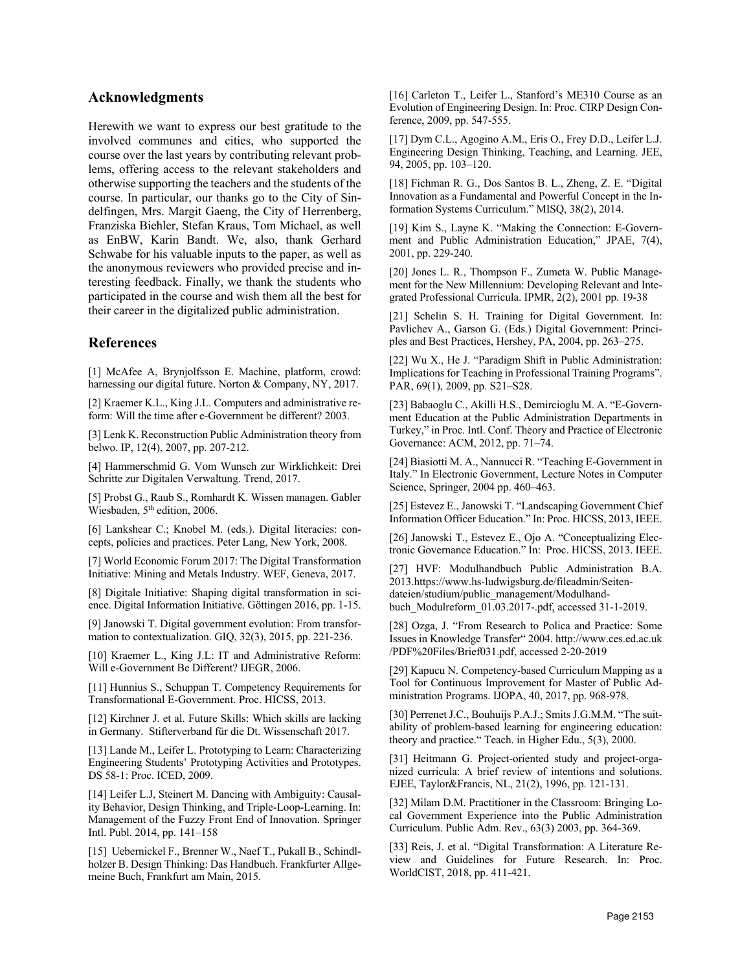## **Acknowledgments**

Herewith we want to express our best gratitude to the involved communes and cities, who supported the course over the last years by contributing relevant problems, offering access to the relevant stakeholders and otherwise supporting the teachers and the students of the course. In particular, our thanks go to the City of Sindelfingen, Mrs. Margit Gaeng, the City of Herrenberg, Franziska Biehler, Stefan Kraus, Tom Michael, as well as EnBW, Karin Bandt. We, also, thank Gerhard Schwabe for his valuable inputs to the paper, as well as the anonymous reviewers who provided precise and interesting feedback. Finally, we thank the students who participated in the course and wish them all the best for their career in the digitalized public administration.

## **References**

[1] McAfee A, Brynjolfsson E. Machine, platform, crowd: harnessing our digital future. Norton & Company, NY, 2017.

[2] Kraemer K.L., King J.L. Computers and administrative reform: Will the time after e-Government be different? 2003.

[3] Lenk K. Reconstruction Public Administration theory from belwo. IP, 12(4), 2007, pp. 207-212.

[4] Hammerschmid G. Vom Wunsch zur Wirklichkeit: Drei Schritte zur Digitalen Verwaltung. Trend, 2017.

[5] Probst G., Raub S., Romhardt K. Wissen managen. Gabler Wiesbaden, 5<sup>th</sup> edition, 2006.

[6] Lankshear C.; Knobel M. (eds.). Digital literacies: concepts, policies and practices. Peter Lang, New York, 2008.

[7] World Economic Forum 2017: The Digital Transformation Initiative: Mining and Metals Industry. WEF, Geneva, 2017.

[8] Digitale Initiative: Shaping digital transformation in science. Digital Information Initiative. Göttingen 2016, pp. 1-15.

[9] Janowski T. Digital government evolution: From transformation to contextualization. GIQ, 32(3), 2015, pp. 221-236.

[10] Kraemer L., King J.L: IT and Administrative Reform: Will e-Government Be Different? IJEGR, 2006.

[11] Hunnius S., Schuppan T. Competency Requirements for Transformational E-Government. Proc. HICSS, 2013.

[12] Kirchner J. et al. Future Skills: Which skills are lacking in Germany. Stifterverband für die Dt. Wissenschaft 2017.

[13] Lande M., Leifer L. Prototyping to Learn: Characterizing Engineering Students' Prototyping Activities and Prototypes. DS 58-1: Proc. ICED, 2009.

[14] Leifer L.J, Steinert M. Dancing with Ambiguity: Causality Behavior, Design Thinking, and Triple-Loop-Learning. In: Management of the Fuzzy Front End of Innovation. Springer Intl. Publ. 2014, pp. 141–158

[15] Uebernickel F., Brenner W., Naef T., Pukall B., Schindlholzer B. Design Thinking: Das Handbuch. Frankfurter Allgemeine Buch, Frankfurt am Main, 2015.

[16] Carleton T., Leifer L., Stanford's ME310 Course as an Evolution of Engineering Design. In: Proc. CIRP Design Conference, 2009, pp. 547-555.

[17] Dym C.L., Agogino A.M., Eris O., Frey D.D., Leifer L.J. Engineering Design Thinking, Teaching, and Learning. JEE, 94, 2005, pp. 103–120.

[18] Fichman R. G., Dos Santos B. L., Zheng, Z. E. "Digital Innovation as a Fundamental and Powerful Concept in the Information Systems Curriculum." MISQ, 38(2), 2014.

[19] Kim S., Layne K. "Making the Connection: E-Government and Public Administration Education," JPAE, 7(4), 2001, pp. 229-240.

[20] Jones L. R., Thompson F., Zumeta W. Public Management for the New Millennium: Developing Relevant and Integrated Professional Curricula. IPMR, 2(2), 2001 pp. 19-38

[21] Schelin S. H. Training for Digital Government. In: Pavlichev A., Garson G. (Eds.) Digital Government: Principles and Best Practices, Hershey, PA, 2004, pp. 263–275.

[22] Wu X., He J. "Paradigm Shift in Public Administration: Implications for Teaching in Professional Training Programs". PAR, 69(1), 2009, pp. S21–S28.

[23] Babaoglu C., Akilli H.S., Demircioglu M. A. "E-Government Education at the Public Administration Departments in Turkey," in Proc. Intl. Conf. Theory and Practice of Electronic Governance: ACM, 2012, pp. 71–74.

[24] Biasiotti M. A., Nannucci R. "Teaching E-Government in Italy." In Electronic Government, Lecture Notes in Computer Science, Springer, 2004 pp. 460–463.

[25] Estevez E., Janowski T. "Landscaping Government Chief Information Officer Education." In: Proc. HICSS, 2013, IEEE.

[26] Janowski T., Estevez E., Ojo A. "Conceptualizing Electronic Governance Education." In: Proc. HICSS, 2013. IEEE.

[27] HVF: Modulhandbuch Public Administration B.A. 2013.https://www.hs-ludwigsburg.de/fileadmin/Seitendateien/studium/public\_management/Modulhandbuch\_Modulreform\_01.03.2017-.pdf, accessed 31-1-2019.

[28] Ozga, J. "From Research to Polica and Practice: Some Issues in Knowledge Transfer" 2004. http://www.ces.ed.ac.uk /PDF%20Files/Brief031.pdf, accessed 2-20-2019

[29] Kapucu N. Competency-based Curriculum Mapping as a Tool for Continuous Improvement for Master of Public Administration Programs. IJOPA, 40, 2017, pp. 968-978.

[30] Perrenet J.C., Bouhuijs P.A.J.; Smits J.G.M.M. "The suitability of problem-based learning for engineering education: theory and practice." Teach. in Higher Edu., 5(3), 2000.

[31] Heitmann G. Project-oriented study and project-organized curricula: A brief review of intentions and solutions. EJEE, Taylor&Francis, NL, 21(2), 1996, pp. 121-131.

[32] Milam D.M. Practitioner in the Classroom: Bringing Local Government Experience into the Public Administration Curriculum. Public Adm. Rev., 63(3) 2003, pp. 364-369.

[33] Reis, J. et al. "Digital Transformation: A Literature Review and Guidelines for Future Research. In: Proc. WorldCIST, 2018, pp. 411-421.